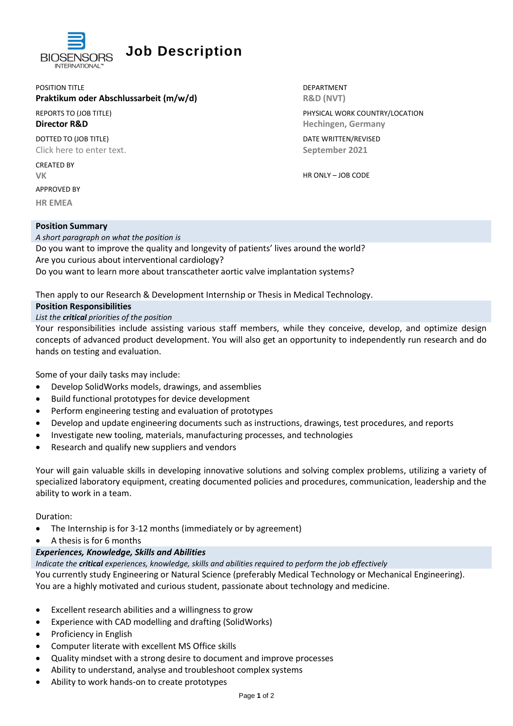

# **Job Description**

POSITION TITLE **EXECUTE A REPORT OF A REPORT OF A REPORT OF A REPORT OF A REPORT OF A REPORT OF A REPORT OF A RE** 

## **Praktikum oder Abschlussarbeit (m/w/d)** R&D (NVT)

DOTTED TO (JOB TITLE) DATE WRITTEN/REVISED Click here to enter text. **September 2021**

CREATED BY

APPROVED BY

**HR EMEA**

#### **Position Summary**

REPORTS TO (JOB TITLE) THE SERVICE OF STATE SERVICE OF STATE PHYSICAL WORK COUNTRY/LOCATION **Director R&D Contract Contract Contract Contract Contract Contract Contract Contract Contract Contract Contract Contract Contract Contract Contract Contract Contract Contract Contract Contract Contract Contract Contract** 

**VK** HR ONLY – JOB CODE

*A short paragraph on what the position is* Do you want to improve the quality and longevity of patients' lives around the world? Are you curious about interventional cardiology? Do you want to learn more about transcatheter aortic valve implantation systems?

Then apply to our Research & Development Internship or Thesis in Medical Technology.

### **Position Responsibilities**

*List the critical priorities of the position*

Your responsibilities include assisting various staff members, while they conceive, develop, and optimize design concepts of advanced product development. You will also get an opportunity to independently run research and do hands on testing and evaluation.

Some of your daily tasks may include:

- Develop SolidWorks models, drawings, and assemblies
- Build functional prototypes for device development
- Perform engineering testing and evaluation of prototypes
- Develop and update engineering documents such as instructions, drawings, test procedures, and reports
- Investigate new tooling, materials, manufacturing processes, and technologies
- Research and qualify new suppliers and vendors

Your will gain valuable skills in developing innovative solutions and solving complex problems, utilizing a variety of specialized laboratory equipment, creating documented policies and procedures, communication, leadership and the ability to work in a team.

Duration:

- The Internship is for 3-12 months (immediately or by agreement)
- A thesis is for 6 months

# *Experiences, Knowledge, Skills and Abilities*

*Indicate the critical experiences, knowledge, skills and abilities required to perform the job effectively*

You currently study Engineering or Natural Science (preferably Medical Technology or Mechanical Engineering). You are a highly motivated and curious student, passionate about technology and medicine.

- Excellent research abilities and a willingness to grow
- Experience with CAD modelling and drafting (SolidWorks)
- Proficiency in English
- Computer literate with excellent MS Office skills
- Quality mindset with a strong desire to document and improve processes
- Ability to understand, analyse and troubleshoot complex systems
- Ability to work hands-on to create prototypes